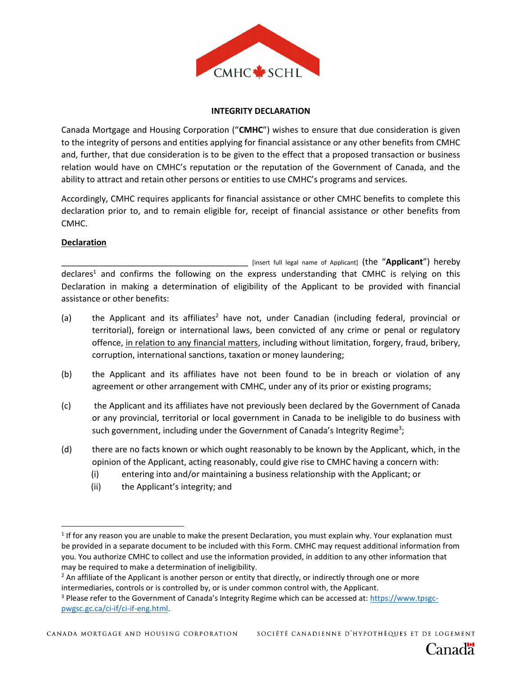

## **INTEGRITY DECLARATION**

Canada Mortgage and Housing Corporation ("**CMHC**") wishes to ensure that due consideration is given to the integrity of persons and entities applying for financial assistance or any other benefits from CMHC and, further, that due consideration is to be given to the effect that a proposed transaction or business relation would have on CMHC's reputation or the reputation of the Government of Canada, and the ability to attract and retain other persons or entities to use CMHC's programs and services.

Accordingly, CMHC requires applicants for financial assistance or other CMHC benefits to complete this declaration prior to, and to remain eligible for, receipt of financial assistance or other benefits from CMHC.

## **Declaration**

 $\overline{a}$ 

\_\_\_\_\_\_\_\_\_\_\_\_\_\_\_\_\_\_\_\_\_\_\_\_\_\_\_\_\_\_\_\_\_\_\_\_\_\_\_\_ [insert full legal name of Applicant] (the "**Applicant**") hereby declares<sup>1</sup> and confirms the following on the express understanding that CMHC is relying on this Declaration in making a determination of eligibility of the Applicant to be provided with financial assistance or other benefits:

- (a) the Applicant and its affiliates<sup>2</sup> have not, under Canadian (including federal, provincial or territorial), foreign or international laws, been convicted of any crime or penal or regulatory offence, in relation to any financial matters, including without limitation, forgery, fraud, bribery, corruption, international sanctions, taxation or money laundering;
- (b) the Applicant and its affiliates have not been found to be in breach or violation of any agreement or other arrangement with CMHC, under any of its prior or existing programs;
- (c) the Applicant and its affiliates have not previously been declared by the Government of Canada or any provincial, territorial or local government in Canada to be ineligible to do business with such government, including under the Government of Canada's Integrity Regime<sup>3</sup>;
- (d) there are no facts known or which ought reasonably to be known by the Applicant, which, in the opinion of the Applicant, acting reasonably, could give rise to CMHC having a concern with:
	- (i) entering into and/or maintaining a business relationship with the Applicant; or
	- (ii) the Applicant's integrity; and

SOCIÉTÉ CANADIENNE D'HYPOTHÈQUES ET DE LOGEMENT

 $1$  If for any reason you are unable to make the present Declaration, you must explain why. Your explanation must be provided in a separate document to be included with this Form. CMHC may request additional information from you. You authorize CMHC to collect and use the information provided, in addition to any other information that may be required to make a determination of ineligibility.

<sup>&</sup>lt;sup>2</sup> An affiliate of the Applicant is another person or entity that directly, or indirectly through one or more intermediaries, controls or is controlled by, or is under common control with, the Applicant.

<sup>&</sup>lt;sup>3</sup> Please refer to the Government of Canada's Integrity Regime which can be accessed at: [https://www.tpsgc](https://www.tpsgc-pwgsc.gc.ca/ci-if/ci-if-eng.html)[pwgsc.gc.ca/ci-if/ci-if-eng.html.](https://www.tpsgc-pwgsc.gc.ca/ci-if/ci-if-eng.html)